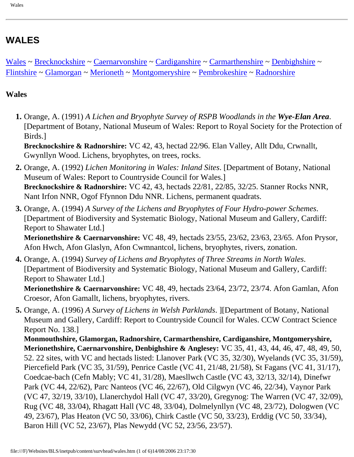# **WALES**

[Wales](#page-0-0) ~ [Brecknockshire](#page-1-0) ~ [Caernarvonshire](#page-1-1) ~ [Cardiganshire](#page-2-0) ~ [Carmarthenshire](#page-2-1) ~ [Denbighshire](#page-3-0) ~ [Flintshire](#page-3-1) ~ [Glamorgan](#page-3-2) ~ [Merioneth](#page-3-3) ~ [Montgomeryshire](#page-4-0) ~ [Pembrokeshire](#page-4-1) ~ [Radnorshire](#page-5-0)

#### <span id="page-0-0"></span>**Wales**

 **1.** Orange, A. (1991) *A Lichen and Bryophyte Survey of RSPB Woodlands in the Wye-Elan Area*. [Department of Botany, National Museum of Wales: Report to Royal Society for the Protection of Birds.]

**Brecknockshire & Radnorshire:** VC 42, 43, hectad 22/96. Elan Valley, Allt Ddu, Crwnallt, Gwynllyn Wood. Lichens, bryophytes, on trees, rocks.

- **2.** Orange, A. (1992) *Lichen Monitoring in Wales: Inland Sites*. [Department of Botany, National Museum of Wales: Report to Countryside Council for Wales.] **Brecknockshire & Radnorshire:** VC 42, 43, hectads 22/81, 22/85, 32/25. Stanner Rocks NNR, Nant Irfon NNR, Ogof Ffynnon Ddu NNR. Lichens, permanent quadrats.
- **3.** Orange, A. (1994) *A Survey of the Lichens and Bryophytes of Four Hydro-power Schemes*. [Department of Biodiversity and Systematic Biology, National Museum and Gallery, Cardiff: Report to Shawater Ltd.]

**Merionethshire & Caernarvonshire:** VC 48, 49, hectads 23/55, 23/62, 23/63, 23/65. Afon Prysor, Afon Hwch, Afon Glaslyn, Afon Cwmnantcol, lichens, bryophytes, rivers, zonation.

**4.** Orange, A. (1994) *Survey of Lichens and Bryophytes of Three Streams in North Wales*. [Department of Biodiversity and Systematic Biology, National Museum and Gallery, Cardiff: Report to Shawater Ltd.]

**Merionethshire & Caernarvonshire:** VC 48, 49, hectads 23/64, 23/72, 23/74. Afon Gamlan, Afon Croesor, Afon Gamallt, lichens, bryophytes, rivers.

**5.** Orange, A. (1996) *A Survey of Lichens in Welsh Parklands*. ][Department of Botany, National Museum and Gallery, Cardiff: Report to Countryside Council for Wales. CCW Contract Science Report No. 138.]

**Monmouthshire, Glamorgan, Radnorshire, Carmarthenshire, Cardiganshire, Montgomeryshire, Merionethshire, Caernarvonshire, Denbighshire & Anglesey:** VC 35, 41, 43, 44, 46, 47, 48, 49, 50, 52. 22 sites, with VC and hectads listed: Llanover Park (VC 35, 32/30), Wyelands (VC 35, 31/59), Piercefield Park (VC 35, 31/59), Penrice Castle (VC 41, 21/48, 21/58), St Fagans (VC 41, 31/17), Coedcae-bach (Cefn Mably; VC 41, 31/28), Maesllwch Castle (VC 43, 32/13, 32/14), Dinefwr Park (VC 44, 22/62), Parc Nanteos (VC 46, 22/67), Old Cilgwyn (VC 46, 22/34), Vaynor Park (VC 47, 32/19, 33/10), Llanerchydol Hall (VC 47, 33/20), Gregynog: The Warren (VC 47, 32/09), Rug (VC 48, 33/04), Rhagatt Hall (VC 48, 33/04), Dolmelynllyn (VC 48, 23/72), Dologwen (VC 49, 23/67), Plas Heaton (VC 50, 33/06), Chirk Castle (VC 50, 33/23), Erddig (VC 50, 33/34), Baron Hill (VC 52, 23/67), Plas Newydd (VC 52, 23/56, 23/57).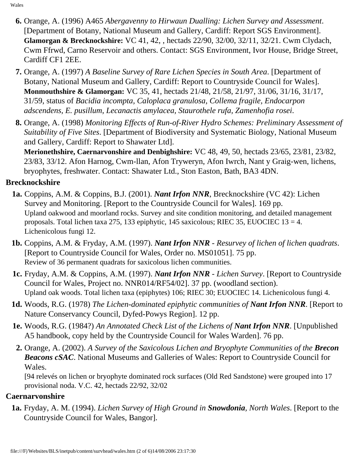- **6.** Orange, A. (1996) A465 *Abergavenny to Hirwaun Dualling: Lichen Survey and Assessment*. [Department of Botany, National Museum and Gallery, Cardiff: Report SGS Environment]. **Glamorgan & Brecknockshire:** VC 41, 42, , hectads 22/90, 32/00, 32/11, 32/21. Cwm Clydach, Cwm Ffrwd, Carno Reservoir and others. Contact: SGS Environment, Ivor House, Bridge Street, Cardiff CF1 2EE.
- **7.** Orange, A. (1997) *A Baseline Survey of Rare Lichen Species in South Area*. [Department of Botany, National Museum and Gallery, Cardiff: Report to Countryside Council for Wales]. **Monmouthshire & Glamorgan:** VC 35, 41, hectads 21/48, 21/58, 21/97, 31/06, 31/16, 31/17, 31/59, status of *Bacidia incompta, Caloplaca granulosa, Collema fragile, Endocarpon adscendens, E. pusillum*, *Lecanactis amylacea, Staurothele rufa, Zamenhofia rosei*.
- **8.** Orange, A. (1998) *Monitoring Effects of Run-of-River Hydro Schemes: Preliminary Assessment of Suitability of Five Sites*. [Department of Biodiversity and Systematic Biology, National Museum and Gallery, Cardiff: Report to Shawater Ltd].

**Merionethshire, Caernarvonshire and Denbighshire:** VC 48, 49, 50, hectads 23/65, 23/81, 23/82, 23/83, 33/12. Afon Harnog, Cwm-llan, Afon Tryweryn, Afon Iwrch, Nant y Graig-wen, lichens, bryophytes, freshwater. Contact: Shawater Ltd., Ston Easton, Bath, BA3 4DN.

### <span id="page-1-0"></span>**Brecknockshire**

- **1a.** Coppins, A.M. & Coppins, B.J. (2001). *Nant Irfon NNR*, Brecknockshire (VC 42): Lichen Survey and Monitoring. [Report to the Countryside Council for Wales]. 169 pp. Upland oakwood and moorland rocks. Survey and site condition monitoring, and detailed management proposals. Total lichen taxa 275, 133 epiphytic, 145 saxicolous; RIEC 35, EUOCIEC  $13 = 4$ . Lichenicolous fungi 12.
- **1b.** Coppins, A.M. & Fryday, A.M. (1997). *Nant Irfon NNR Resurvey of lichen of lichen quadrats*. [Report to Countryside Council for Wales, Order no. MS01051]. 75 pp. Review of 36 permanent quadrats for saxicolous lichen communities.
- **1c.** Fryday, A.M. & Coppins, A.M. (1997). *Nant Irfon NNR Lichen Survey*. [Report to Countryside Council for Wales, Project no. NNR014/RF54/02]. 37 pp. (woodland section). Upland oak woods. Total lichen taxa (epiphytes) 106; RIEC 30; EUOCIEC 14. Lichenicolous fungi 4.
- **1d.** Woods, R.G. (1978) *The Lichen-dominated epiphytic communities of Nant Irfon NNR*. [Report to Nature Conservancy Council, Dyfed-Powys Region]. 12 pp.
- **1e.** Woods, R.G. (1984?) *An Annotated Check List of the Lichens of Nant Irfon NNR*. [Unpublished A5 handbook, copy held by the Countryside Council for Wales Warden]. 76 pp.
- **2.** Orange, A. (2002). *A Survey of the Saxicolous Lichen and Bryophyte Communities of the Brecon Beacons cSAC*. National Museums and Galleries of Wales: Report to Countryside Council for Wales.

[94 relevés on lichen or bryophyte dominated rock surfaces (Old Red Sandstone) were grouped into 17 provisional noda. V.C. 42, hectads 22/92, 32/02

#### <span id="page-1-1"></span>**Caernarvonshire**

 **1a.** Fryday, A. M. (1994). *Lichen Survey of High Ground in Snowdonia, North Wales*. [Report to the Countryside Council for Wales, Bangor].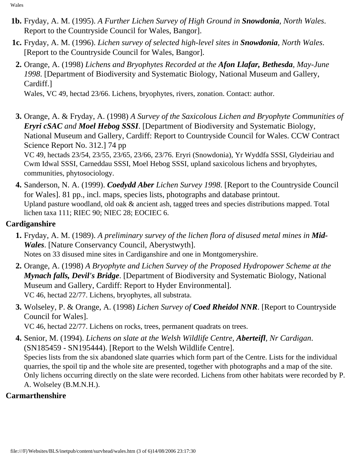Wales

- **1b.** Fryday, A. M. (1995). *A Further Lichen Survey of High Ground in Snowdonia, North Wales*. Report to the Countryside Council for Wales, Bangor].
- **1c.** Fryday, A. M. (1996). *Lichen survey of selected high-level sites in Snowdonia, North Wales*. [Report to the Countryside Council for Wales, Bangor].
- **2.** Orange, A. (1998) *Lichens and Bryophytes Recorded at the Afon Llafar, Bethesda, May-June 1998*. [Department of Biodiversity and Systematic Biology, National Museum and Gallery, Cardiff.]

Wales, VC 49, hectad 23/66. Lichens, bryophytes, rivers, zonation. Contact: author.

**3.** Orange, A. & Fryday, A. (1998) *A Survey of the Saxicolous Lichen and Bryophyte Communities of Eryri cSAC and Moel Hebog SSSI*. [Department of Biodiversity and Systematic Biology, National Museum and Gallery, Cardiff: Report to Countryside Council for Wales. CCW Contract Science Report No. 312.] 74 pp VC 49, hectads 23/54, 23/55, 23/65, 23/66, 23/76. Eryri (Snowdonia), Yr Wyddfa SSSI, Glydeiriau and Cwm Idwal SSSI, Carneddau SSSI, Moel Hebog SSSI, upland saxicolous lichens and bryophytes,

communities, phytosociology.

**4.** Sanderson, N. A. (1999). *Coedydd Aber Lichen Survey 1998*. [Report to the Countryside Council for Wales]. 81 pp., incl. maps, species lists, photographs and database printout. Upland pasture woodland, old oak & ancient ash, tagged trees and species distributions mapped. Total lichen taxa 111; RIEC 90; NIEC 28; EOCIEC 6.

#### <span id="page-2-0"></span>**Cardiganshire**

- **1.** Fryday, A. M. (1989). *A preliminary survey of the lichen flora of disused metal mines in Mid-Wales*. [Nature Conservancy Council, Aberystwyth]. Notes on 33 disused mine sites in Cardiganshire and one in Montgomeryshire.
- **2.** Orange, A. (1998) *A Bryophyte and Lichen Survey of the Proposed Hydropower Scheme at the Mynach falls, Devil's Bridge*. [Department of Biodiversity and Systematic Biology, National Museum and Gallery, Cardiff: Report to Hyder Environmental]. VC 46, hectad 22/77. Lichens, bryophytes, all substrata.
- **3.** Wolseley, P. & Orange, A. (1998) *Lichen Survey of Coed Rheidol NNR*. [Report to Countryside Council for Wales].

VC 46, hectad 22/77. Lichens on rocks, trees, permanent quadrats on trees.

**4.** Senior, M. (1994). *Lichens on slate at the Welsh Wildlife Centre, Aberteifl, Nr Cardigan*. (SN185459 - SN195444). [Report to the Welsh Wildlife Centre]. Species lists from the six abandoned slate quarries which form part of the Centre. Lists for the individual quarries, the spoil tip and the whole site are presented, together with photographs and a map of the site. Only lichens occurring directly on the slate were recorded. Lichens from other habitats were recorded by P. A. Wolseley (B.M.N.H.).

### <span id="page-2-1"></span>**Carmarthenshire**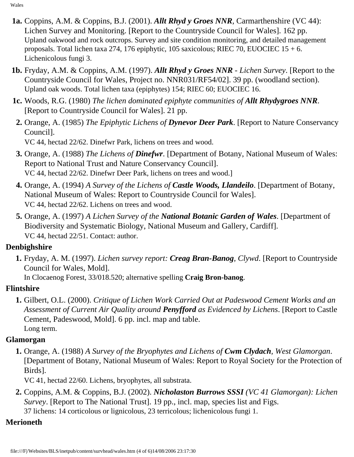Wales

- **1a.** Coppins, A.M. & Coppins, B.J. (2001). *Allt Rhyd y Groes NNR*, Carmarthenshire (VC 44): Lichen Survey and Monitoring. [Report to the Countryside Council for Wales]. 162 pp. Upland oakwood and rock outcrops. Survey and site condition monitoring, and detailed management proposals. Total lichen taxa 274, 176 epiphytic, 105 saxicolous; RIEC 70, EUOCIEC 15 + 6. Lichenicolous fungi 3.
- **1b.** Fryday, A.M. & Coppins, A.M. (1997). *Allt Rhyd y Groes NNR Lichen Survey*. [Report to the Countryside Council for Wales, Project no. NNR031/RF54/02]. 39 pp. (woodland section). Upland oak woods. Total lichen taxa (epiphytes) 154; RIEC 60; EUOCIEC 16.
- **1c.** Woods, R.G. (1980) *The lichen dominated epiphyte communities of Allt Rhydygroes NNR*. [Report to Countryside Council for Wales]. 21 pp.
- **2.** Orange, A. (1985) *The Epiphytic Lichens of Dynevor Deer Park*. [Report to Nature Conservancy Council].

VC 44, hectad 22/62. Dinefwr Park, lichens on trees and wood.

- **3.** Orange, A. (1988) *The Lichens of Dinefwr*. [Department of Botany, National Museum of Wales: Report to National Trust and Nature Conservancy Council]. VC 44, hectad 22/62. Dinefwr Deer Park, lichens on trees and wood.]
- **4.** Orange, A. (1994) *A Survey of the Lichens of Castle Woods, Llandeilo*. [Department of Botany, National Museum of Wales: Report to Countryside Council for Wales]. VC 44, hectad 22/62. Lichens on trees and wood.
- **5.** Orange, A. (1997) *A Lichen Survey of the National Botanic Garden of Wales*. [Department of Biodiversity and Systematic Biology, National Museum and Gallery, Cardiff]. VC 44, hectad 22/51. Contact: author.

### <span id="page-3-0"></span>**Denbighshire**

 **1.** Fryday, A. M. (1997). *Lichen survey report: Creag Bran-Banog, Clywd*. [Report to Countryside Council for Wales, Mold].

In Clocaenog Forest, 33/018.520; alternative spelling **Craig Bron-banog**.

## <span id="page-3-1"></span>**Flintshire**

 **1.** Gilbert, O.L. (2000). *Critique of Lichen Work Carried Out at Padeswood Cement Works and an Assessment of Current Air Quality around Penyfford as Evidenced by Lichens*. [Report to Castle Cement, Padeswood, Mold]. 6 pp. incl. map and table. Long term.

## <span id="page-3-2"></span>**Glamorgan**

 **1.** Orange, A. (1988) *A Survey of the Bryophytes and Lichens of Cwm Clydach, West Glamorgan*. [Department of Botany, National Museum of Wales: Report to Royal Society for the Protection of Birds].

VC 41, hectad 22/60. Lichens, bryophytes, all substrata.

 **2.** Coppins, A.M. & Coppins, B.J. (2002). *Nicholaston Burrows SSSI (VC 41 Glamorgan): Lichen Survey*. [Report to The National Trust]. 19 pp., incl. map, species list and Figs. 37 lichens: 14 corticolous or lignicolous, 23 terricolous; lichenicolous fungi 1.

## <span id="page-3-3"></span>**Merioneth**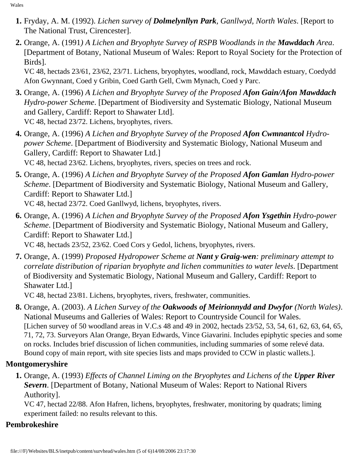- **1.** Fryday, A. M. (1992). *Lichen survey of Dolmelynllyn Park, Ganllwyd, North Wales*. [Report to The National Trust, Cirencester].
- **2.** Orange, A. (1991*) A Lichen and Bryophyte Survey of RSPB Woodlands in the Mawddach Area*. [Department of Botany, National Museum of Wales: Report to Royal Society for the Protection of Birds].

VC 48, hectads 23/61, 23/62, 23/71. Lichens, bryophytes, woodland, rock, Mawddach estuary, Coedydd Afon Gwynnant, Coed y Gribin, Coed Garth Gell, Cwm Mynach, Coed y Parc.

- **3.** Orange, A. (1996) *A Lichen and Bryophyte Survey of the Proposed Afon Gain/Afon Mawddach Hydro-power Scheme*. [Department of Biodiversity and Systematic Biology, National Museum and Gallery, Cardiff: Report to Shawater Ltd]. VC 48, hectad 23/72. Lichens, bryophytes, rivers.
- **4.** Orange, A. (1996) *A Lichen and Bryophyte Survey of the Proposed Afon Cwmnantcol Hydropower Scheme*. [Department of Biodiversity and Systematic Biology, National Museum and Gallery, Cardiff: Report to Shawater Ltd.]

VC 48, hectad 23/62. Lichens, bryophytes, rivers, species on trees and rock.

**5.** Orange, A. (1996) *A Lichen and Bryophyte Survey of the Proposed Afon Gamlan Hydro-power Scheme*. [Department of Biodiversity and Systematic Biology, National Museum and Gallery, Cardiff: Report to Shawater Ltd.]

VC 48, hectad 23/72. Coed Ganllwyd, lichens, bryophytes, rivers.

**6.** Orange, A. (1996) *A Lichen and Bryophyte Survey of the Proposed Afon Ysgethin Hydro-power Scheme*. [Department of Biodiversity and Systematic Biology, National Museum and Gallery, Cardiff: Report to Shawater Ltd.]

VC 48, hectads 23/52, 23/62. Coed Cors y Gedol, lichens, bryophytes, rivers.

**7.** Orange, A. (1999) *Proposed Hydropower Scheme at Nant y Graig-wen: preliminary attempt to correlate distribution of riparian bryophyte and lichen communities to water levels*. [Department of Biodiversity and Systematic Biology, National Museum and Gallery, Cardiff: Report to Shawater Ltd.]

VC 48, hectad 23/81. Lichens, bryophytes, rivers, freshwater, communities.

 **8.** Orange, A. (2003). *A Lichen Survey of the Oakwoods of Meirionnydd and Dwyfor (North Wales)*. National Museums and Galleries of Wales: Report to Countryside Council for Wales. [Lichen survey of 50 woodland areas in V.C.s 48 and 49 in 2002, hectads 23/52, 53, 54, 61, 62, 63, 64, 65, 71, 72, 73. Surveyors Alan Orange, Bryan Edwards, Vince Giavarini. Includes epiphytic species and some on rocks. Includes brief discussion of lichen communities, including summaries of some relevé data. Bound copy of main report, with site species lists and maps provided to CCW in plastic wallets.].

## <span id="page-4-0"></span>**Montgomeryshire**

 **1.** Orange, A. (1993) *Effects of Channel Liming on the Bryophytes and Lichens of the Upper River Severn*. [Department of Botany, National Museum of Wales: Report to National Rivers Authority].

VC 47, hectad 22/88. Afon Hafren, lichens, bryophytes, freshwater, monitoring by quadrats; liming experiment failed: no results relevant to this.

### <span id="page-4-1"></span>**Pembrokeshire**